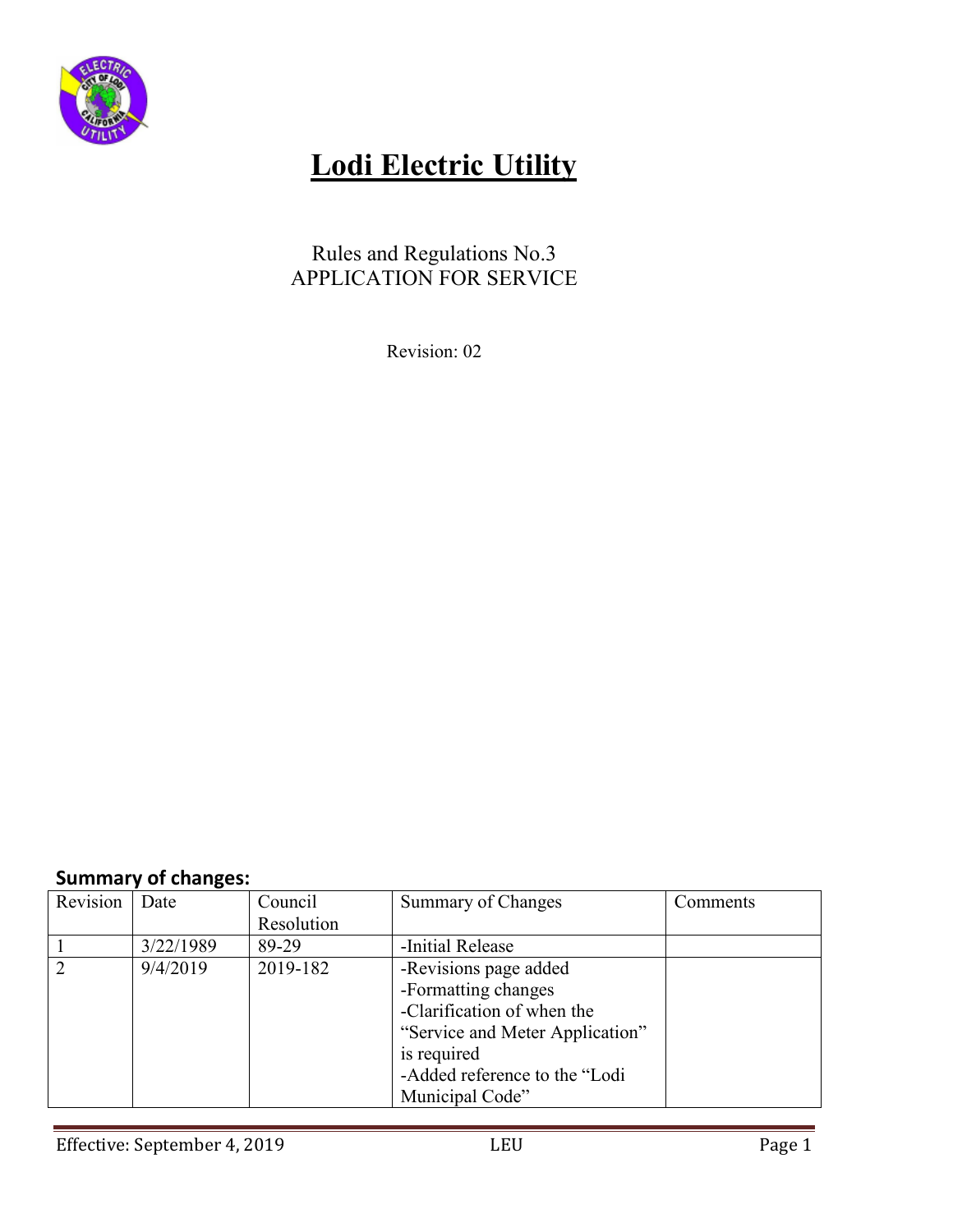

# **Lodi Electric Utility**

## Rules and Regulations No.3 APPLICATION FOR SERVICE

Revision: 02

## **Summary of changes:**

| Revision       | Date      | Council    | Summary of Changes              | Comments |
|----------------|-----------|------------|---------------------------------|----------|
|                |           | Resolution |                                 |          |
|                | 3/22/1989 | 89-29      | -Initial Release                |          |
| $\overline{2}$ | 9/4/2019  | 2019-182   | -Revisions page added           |          |
|                |           |            | -Formatting changes             |          |
|                |           |            | -Clarification of when the      |          |
|                |           |            | "Service and Meter Application" |          |
|                |           |            | is required                     |          |
|                |           |            | -Added reference to the "Lodi   |          |
|                |           |            | Municipal Code"                 |          |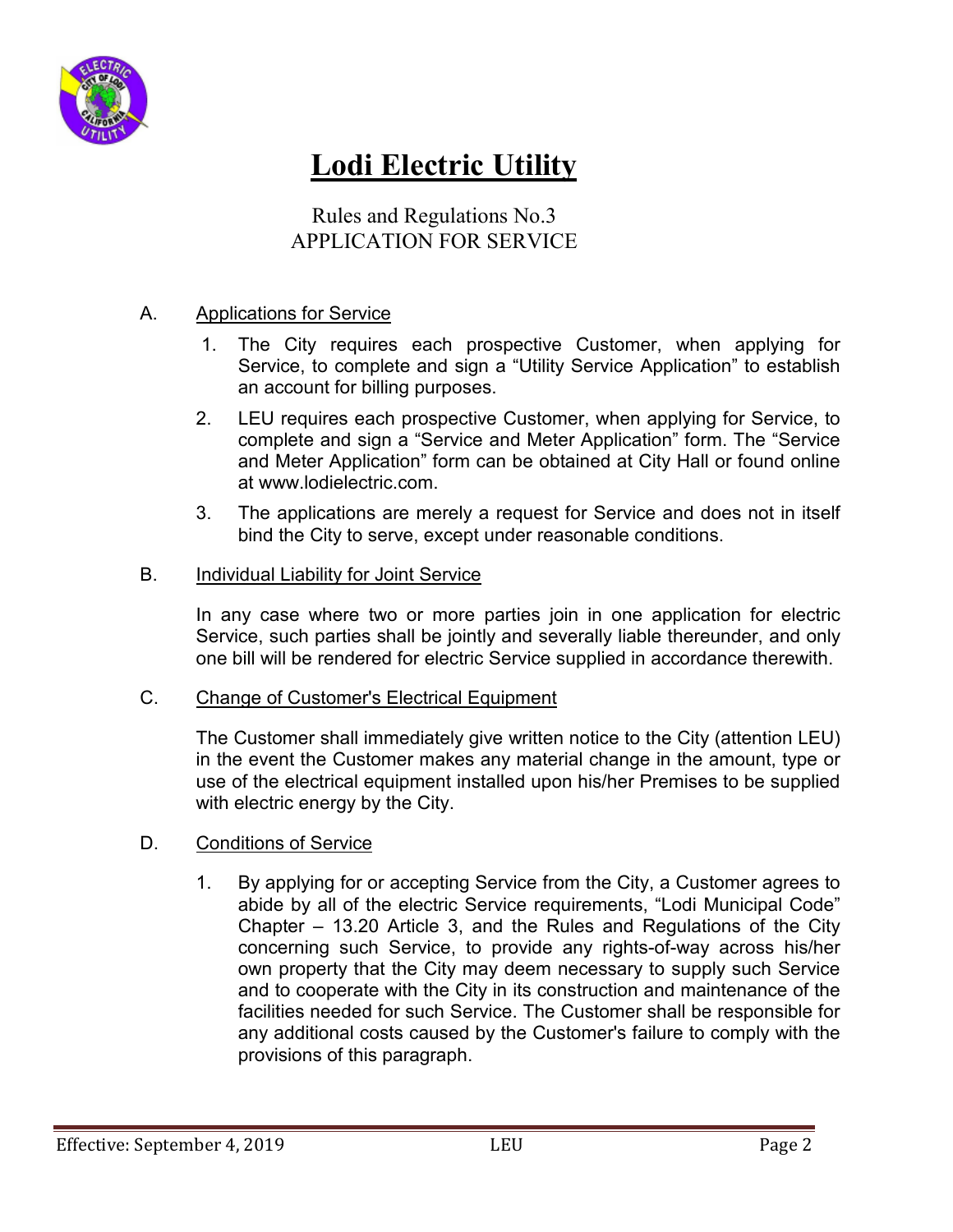

# **Lodi Electric Utility**

Rules and Regulations No.3 APPLICATION FOR SERVICE

### A. Applications for Service

- 1. The City requires each prospective Customer, when applying for Service, to complete and sign a "Utility Service Application" to establish an account for billing purposes.
- 2. LEU requires each prospective Customer, when applying for Service, to complete and sign a "Service and Meter Application" form. The "Service and Meter Application" form can be obtained at City Hall or found online at www.lodielectric.com.
- 3. The applications are merely a request for Service and does not in itself bind the City to serve, except under reasonable conditions.

### B. Individual Liability for Joint Service

In any case where two or more parties join in one application for electric Service, such parties shall be jointly and severally liable thereunder, and only one bill will be rendered for electric Service supplied in accordance therewith.

### C. Change of Customer's Electrical Equipment

The Customer shall immediately give written notice to the City (attention LEU) in the event the Customer makes any material change in the amount, type or use of the electrical equipment installed upon his/her Premises to be supplied with electric energy by the City.

### D. Conditions of Service

1. By applying for or accepting Service from the City, a Customer agrees to abide by all of the electric Service requirements, "Lodi Municipal Code" Chapter – 13.20 Article 3, and the Rules and Regulations of the City concerning such Service, to provide any rights-of-way across his/her own property that the City may deem necessary to supply such Service and to cooperate with the City in its construction and maintenance of the facilities needed for such Service. The Customer shall be responsible for any additional costs caused by the Customer's failure to comply with the provisions of this paragraph.